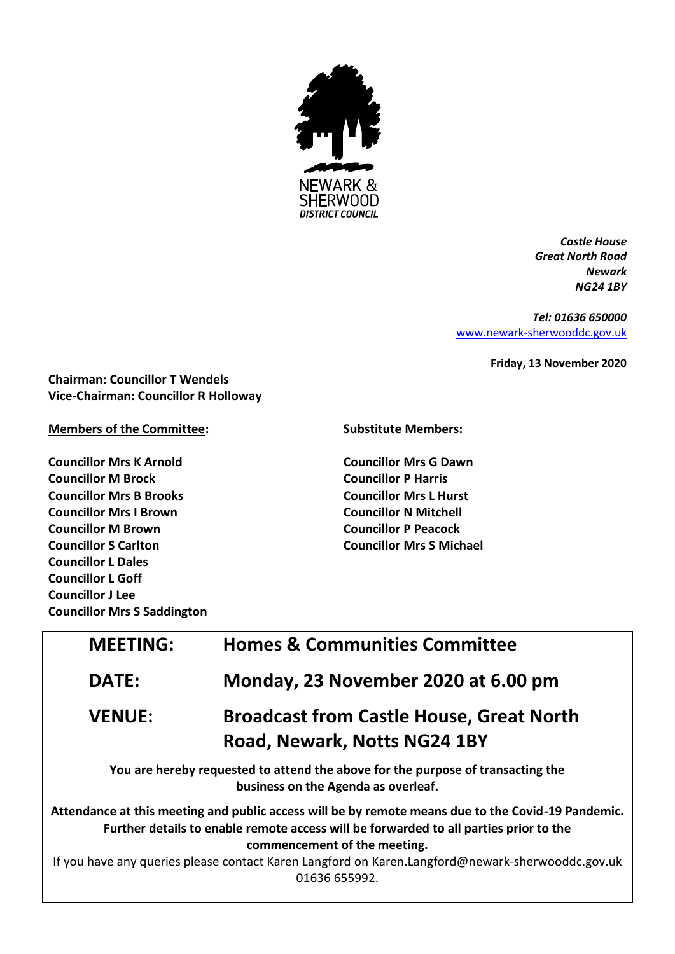

*Castle House Great North Road Newark NG24 1BY*

*Tel: 01636 650000* [www.newark-sherwooddc.gov.uk](http://www.newark-sherwooddc.gov.uk/)

**Friday, 13 November 2020**

**Chairman: Councillor T Wendels Vice-Chairman: Councillor R Holloway**

**Members of the Committee:**

**Councillor Mrs K Arnold Councillor M Brock Councillor Mrs B Brooks Councillor Mrs I Brown Councillor M Brown Councillor S Carlton Councillor L Dales Councillor L Goff Councillor J Lee Councillor Mrs S Saddington** **Substitute Members:**

**Councillor Mrs G Dawn Councillor P Harris Councillor Mrs L Hurst Councillor N Mitchell Councillor P Peacock Councillor Mrs S Michael**

| <b>MEETING:</b> | <b>Homes &amp; Communities Committee</b>                                                                                                                                                                                                                                                                                                         |  |
|-----------------|--------------------------------------------------------------------------------------------------------------------------------------------------------------------------------------------------------------------------------------------------------------------------------------------------------------------------------------------------|--|
| <b>DATE:</b>    | Monday, 23 November 2020 at 6.00 pm                                                                                                                                                                                                                                                                                                              |  |
| <b>VENUE:</b>   | <b>Broadcast from Castle House, Great North</b><br>Road, Newark, Notts NG24 1BY                                                                                                                                                                                                                                                                  |  |
|                 | You are hereby requested to attend the above for the purpose of transacting the<br>business on the Agenda as overleaf.                                                                                                                                                                                                                           |  |
|                 | Attendance at this meeting and public access will be by remote means due to the Covid-19 Pandemic.<br>Further details to enable remote access will be forwarded to all parties prior to the<br>commencement of the meeting.<br>If you have any queries please contact Karen Langford on Karen.Langford@newark-sherwooddc.gov.uk<br>01636 655992. |  |
|                 |                                                                                                                                                                                                                                                                                                                                                  |  |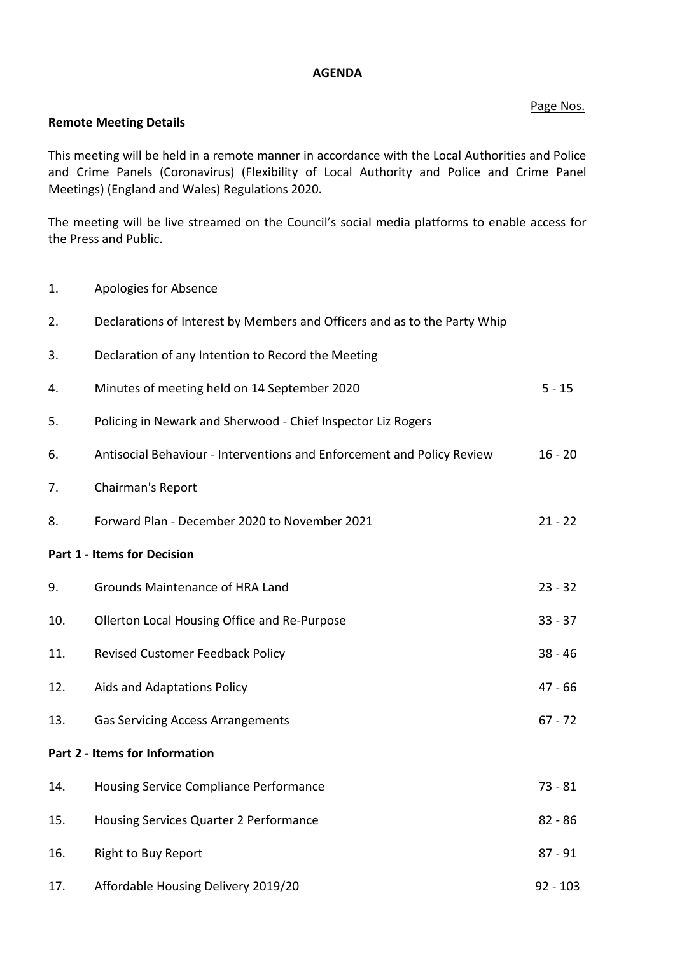## **AGENDA**

## Page Nos.

## **Remote Meeting Details**

This meeting will be held in a remote manner in accordance with the Local Authorities and Police and Crime Panels (Coronavirus) (Flexibility of Local Authority and Police and Crime Panel Meetings) (England and Wales) Regulations 2020.

The meeting will be live streamed on the Council's social media platforms to enable access for the Press and Public.

1. Apologies for Absence

| 2.  | Declarations of Interest by Members and Officers and as to the Party Whip |            |
|-----|---------------------------------------------------------------------------|------------|
| 3.  | Declaration of any Intention to Record the Meeting                        |            |
| 4.  | Minutes of meeting held on 14 September 2020                              | $5 - 15$   |
| 5.  | Policing in Newark and Sherwood - Chief Inspector Liz Rogers              |            |
| 6.  | Antisocial Behaviour - Interventions and Enforcement and Policy Review    | $16 - 20$  |
| 7.  | Chairman's Report                                                         |            |
| 8.  | Forward Plan - December 2020 to November 2021                             | $21 - 22$  |
|     | <b>Part 1 - Items for Decision</b>                                        |            |
| 9.  | <b>Grounds Maintenance of HRA Land</b>                                    | $23 - 32$  |
| 10. | Ollerton Local Housing Office and Re-Purpose                              | $33 - 37$  |
| 11. | Revised Customer Feedback Policy                                          | $38 - 46$  |
| 12. | Aids and Adaptations Policy                                               | $47 - 66$  |
| 13. | <b>Gas Servicing Access Arrangements</b>                                  | $67 - 72$  |
|     | Part 2 - Items for Information                                            |            |
| 14. | Housing Service Compliance Performance                                    | $73 - 81$  |
| 15. | Housing Services Quarter 2 Performance                                    | $82 - 86$  |
| 16. | <b>Right to Buy Report</b>                                                | $87 - 91$  |
| 17. | Affordable Housing Delivery 2019/20                                       | $92 - 103$ |